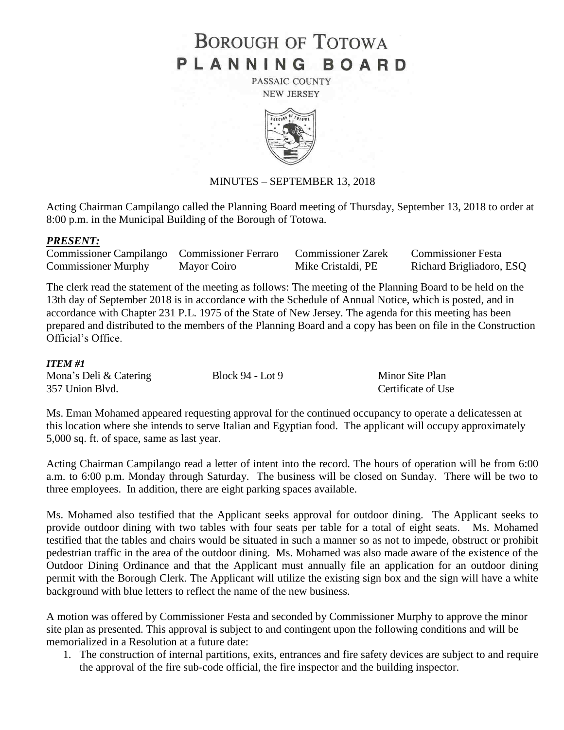# **BOROUGH OF TOTOWA** PLANNING BOARD

PASSAIC COUNTY **NEW JERSEY** 



## MINUTES – SEPTEMBER 13, 2018

Acting Chairman Campilango called the Planning Board meeting of Thursday, September 13, 2018 to order at 8:00 p.m. in the Municipal Building of the Borough of Totowa.

#### *PRESENT:*

| Commissioner Campilango Commissioner Ferraro |             | <b>Commissioner Zarek</b> | <b>Commissioner Festa</b> |
|----------------------------------------------|-------------|---------------------------|---------------------------|
| <b>Commissioner Murphy</b>                   | Mayor Coiro | Mike Cristaldi, PE        | Richard Brigliadoro, ESQ  |

The clerk read the statement of the meeting as follows: The meeting of the Planning Board to be held on the 13th day of September 2018 is in accordance with the Schedule of Annual Notice, which is posted, and in accordance with Chapter 231 P.L. 1975 of the State of New Jersey. The agenda for this meeting has been prepared and distributed to the members of the Planning Board and a copy has been on file in the Construction Official's Office.

#### *ITEM #1*

| Mona's Deli & Catering | Block $94 -$ Lot $9$ |
|------------------------|----------------------|
| 357 Union Blvd.        |                      |

Certificate of Use Minor Site Plan

Ms. Eman Mohamed appeared requesting approval for the continued occupancy to operate a delicatessen at this location where she intends to serve Italian and Egyptian food. The applicant will occupy approximately 5,000 sq. ft. of space, same as last year.

Acting Chairman Campilango read a letter of intent into the record. The hours of operation will be from 6:00 a.m. to 6:00 p.m. Monday through Saturday. The business will be closed on Sunday. There will be two to three employees. In addition, there are eight parking spaces available.

Ms. Mohamed also testified that the Applicant seeks approval for outdoor dining. The Applicant seeks to provide outdoor dining with two tables with four seats per table for a total of eight seats. Ms. Mohamed testified that the tables and chairs would be situated in such a manner so as not to impede, obstruct or prohibit pedestrian traffic in the area of the outdoor dining. Ms. Mohamed was also made aware of the existence of the Outdoor Dining Ordinance and that the Applicant must annually file an application for an outdoor dining permit with the Borough Clerk. The Applicant will utilize the existing sign box and the sign will have a white background with blue letters to reflect the name of the new business.

A motion was offered by Commissioner Festa and seconded by Commissioner Murphy to approve the minor site plan as presented. This approval is subject to and contingent upon the following conditions and will be memorialized in a Resolution at a future date:

1. The construction of internal partitions, exits, entrances and fire safety devices are subject to and require the approval of the fire sub-code official, the fire inspector and the building inspector.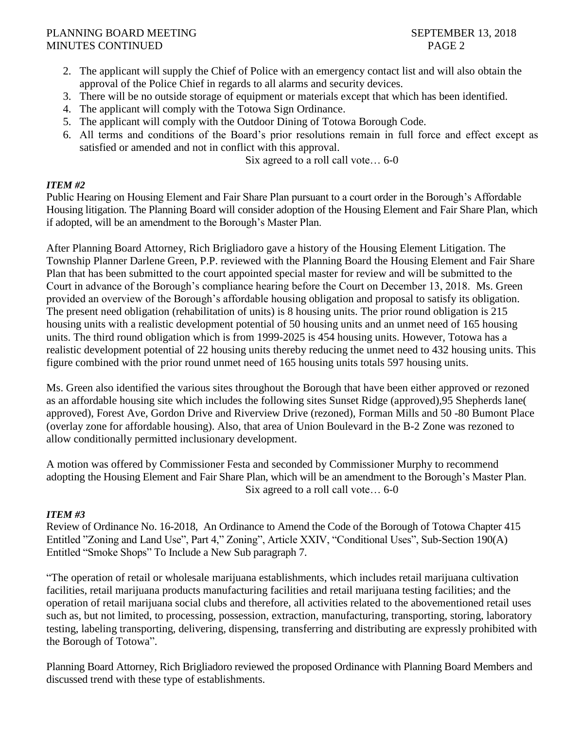## PLANNING BOARD MEETING SEPTEMBER 13, 2018 MINUTES CONTINUED PAGE 2

- 2. The applicant will supply the Chief of Police with an emergency contact list and will also obtain the approval of the Police Chief in regards to all alarms and security devices.
- 3. There will be no outside storage of equipment or materials except that which has been identified.
- 4. The applicant will comply with the Totowa Sign Ordinance.
- 5. The applicant will comply with the Outdoor Dining of Totowa Borough Code.
- 6. All terms and conditions of the Board's prior resolutions remain in full force and effect except as satisfied or amended and not in conflict with this approval.

Six agreed to a roll call vote… 6-0

# *ITEM #2*

Public Hearing on Housing Element and Fair Share Plan pursuant to a court order in the Borough's Affordable Housing litigation. The Planning Board will consider adoption of the Housing Element and Fair Share Plan, which if adopted, will be an amendment to the Borough's Master Plan.

After Planning Board Attorney, Rich Brigliadoro gave a history of the Housing Element Litigation. The Township Planner Darlene Green, P.P. reviewed with the Planning Board the Housing Element and Fair Share Plan that has been submitted to the court appointed special master for review and will be submitted to the Court in advance of the Borough's compliance hearing before the Court on December 13, 2018. Ms. Green provided an overview of the Borough's affordable housing obligation and proposal to satisfy its obligation. The present need obligation (rehabilitation of units) is 8 housing units. The prior round obligation is 215 housing units with a realistic development potential of 50 housing units and an unmet need of 165 housing units. The third round obligation which is from 1999-2025 is 454 housing units. However, Totowa has a realistic development potential of 22 housing units thereby reducing the unmet need to 432 housing units. This figure combined with the prior round unmet need of 165 housing units totals 597 housing units.

Ms. Green also identified the various sites throughout the Borough that have been either approved or rezoned as an affordable housing site which includes the following sites Sunset Ridge (approved),95 Shepherds lane( approved), Forest Ave, Gordon Drive and Riverview Drive (rezoned), Forman Mills and 50 -80 Bumont Place (overlay zone for affordable housing). Also, that area of Union Boulevard in the B-2 Zone was rezoned to allow conditionally permitted inclusionary development.

A motion was offered by Commissioner Festa and seconded by Commissioner Murphy to recommend adopting the Housing Element and Fair Share Plan, which will be an amendment to the Borough's Master Plan. Six agreed to a roll call vote… 6-0

# *ITEM #3*

Review of Ordinance No. 16-2018, An Ordinance to Amend the Code of the Borough of Totowa Chapter 415 Entitled "Zoning and Land Use", Part 4," Zoning", Article XXIV, "Conditional Uses", Sub-Section 190(A) Entitled "Smoke Shops" To Include a New Sub paragraph 7.

"The operation of retail or wholesale marijuana establishments, which includes retail marijuana cultivation facilities, retail marijuana products manufacturing facilities and retail marijuana testing facilities; and the operation of retail marijuana social clubs and therefore, all activities related to the abovementioned retail uses such as, but not limited, to processing, possession, extraction, manufacturing, transporting, storing, laboratory testing, labeling transporting, delivering, dispensing, transferring and distributing are expressly prohibited with the Borough of Totowa".

Planning Board Attorney, Rich Brigliadoro reviewed the proposed Ordinance with Planning Board Members and discussed trend with these type of establishments.